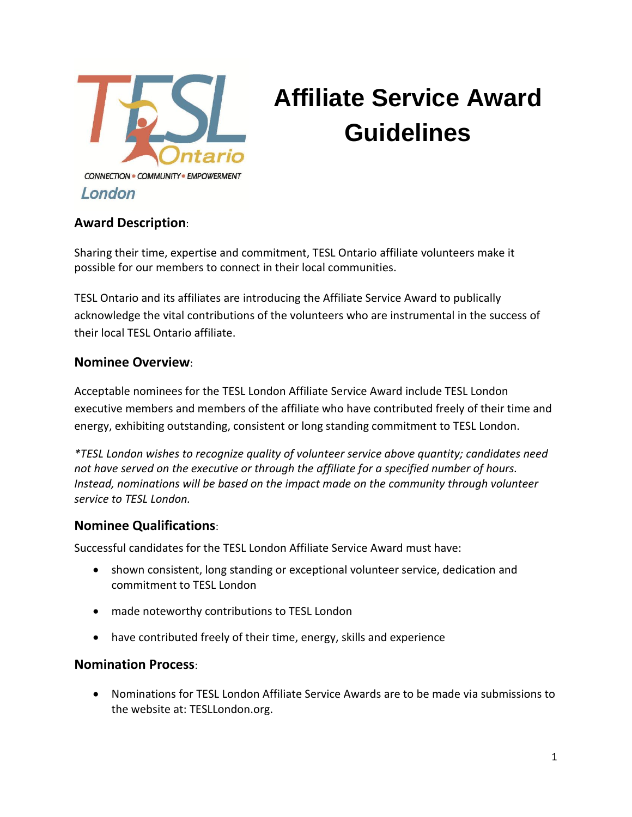

# **Affiliate Service Award Guidelines**

# **Award Description**:

Sharing their time, expertise and commitment, TESL Ontario affiliate volunteers make it possible for our members to connect in their local communities.

TESL Ontario and its affiliates are introducing the Affiliate Service Award to publically acknowledge the vital contributions of the volunteers who are instrumental in the success of their local TESL Ontario affiliate.

### **Nominee Overview**:

Acceptable nominees for the TESL London Affiliate Service Award include TESL London executive members and members of the affiliate who have contributed freely of their time and energy, exhibiting outstanding, consistent or long standing commitment to TESL London.

*\*TESL London wishes to recognize quality of volunteer service above quantity; candidates need not have served on the executive or through the affiliate for a specified number of hours. Instead, nominations will be based on the impact made on the community through volunteer service to TESL London.*

# **Nominee Qualifications**:

Successful candidates for the TESL London Affiliate Service Award must have:

- shown consistent, long standing or exceptional volunteer service, dedication and commitment to TESL London
- made noteworthy contributions to TESL London
- have contributed freely of their time, energy, skills and experience

#### **Nomination Process**:

 Nominations for TESL London Affiliate Service Awards are to be made via submissions to the website at: TESLLondon.org.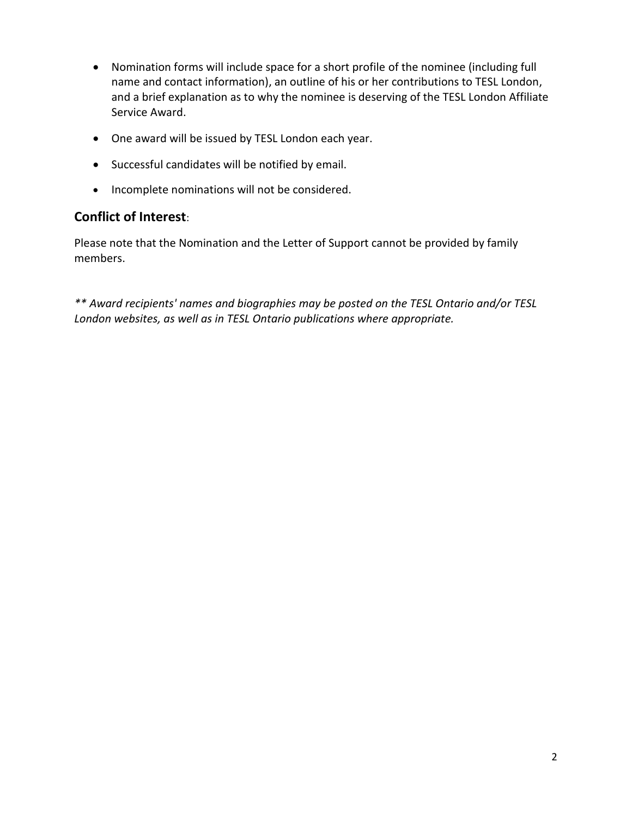- Nomination forms will include space for a short profile of the nominee (including full name and contact information), an outline of his or her contributions to TESL London, and a brief explanation as to why the nominee is deserving of the TESL London Affiliate Service Award.
- One award will be issued by TESL London each year.
- Successful candidates will be notified by email.
- Incomplete nominations will not be considered.

### **Conflict of Interest**:

Please note that the Nomination and the Letter of Support cannot be provided by family members.

*\*\* Award recipients' names and biographies may be posted on the TESL Ontario and/or TESL London websites, as well as in TESL Ontario publications where appropriate.*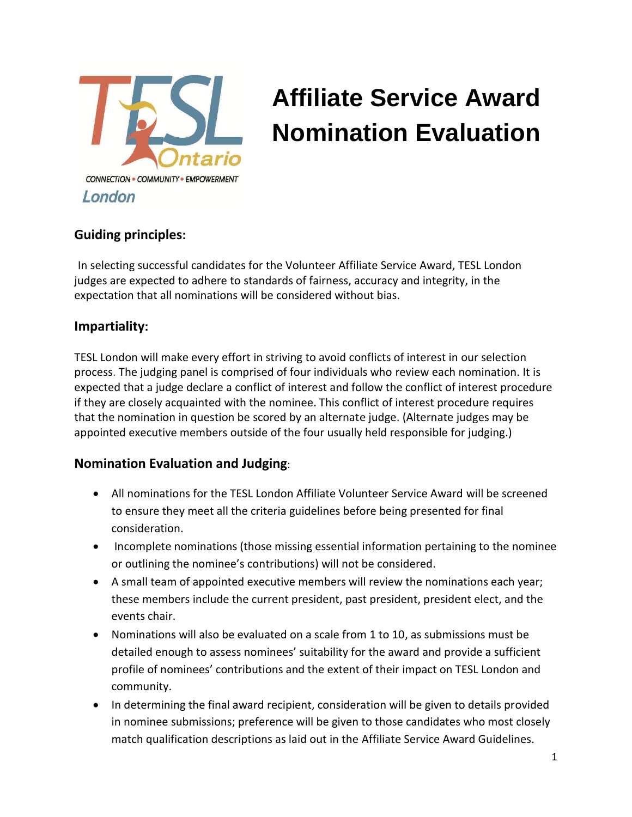

# **Affiliate Service Award Nomination Evaluation**

### **Guiding principles:**

In selecting successful candidates for the Volunteer Affiliate Service Award, TESL London judges are expected to adhere to standards of fairness, accuracy and integrity, in the expectation that all nominations will be considered without bias.

### **Impartiality:**

TESL London will make every effort in striving to avoid conflicts of interest in our selection process. The judging panel is comprised of four individuals who review each nomination. It is expected that a judge declare a conflict of interest and follow the conflict of interest procedure if they are closely acquainted with the nominee. This conflict of interest procedure requires that the nomination in question be scored by an alternate judge. (Alternate judges may be appointed executive members outside of the four usually held responsible for judging.)

### **Nomination Evaluation and Judging**:

- All nominations for the TESL London Affiliate Volunteer Service Award will be screened to ensure they meet all the criteria guidelines before being presented for final consideration.
- Incomplete nominations (those missing essential information pertaining to the nominee or outlining the nominee's contributions) will not be considered.
- A small team of appointed executive members will review the nominations each year; these members include the current president, past president, president elect, and the events chair.
- Nominations will also be evaluated on a scale from 1 to 10, as submissions must be detailed enough to assess nominees' suitability for the award and provide a sufficient profile of nominees' contributions and the extent of their impact on TESL London and community.
- In determining the final award recipient, consideration will be given to details provided in nominee submissions; preference will be given to those candidates who most closely match qualification descriptions as laid out in the Affiliate Service Award Guidelines.